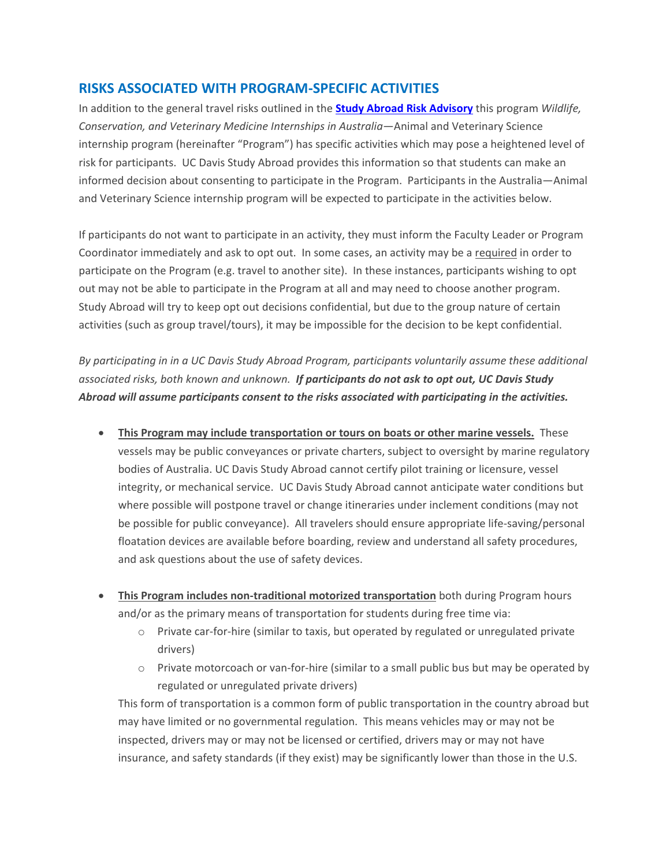## **RISKS ASSOCIATED WITH PROGRAM-SPECIFIC ACTIVITIES**

In addition to the general travel risks outlined in the **[Study Abroad Risk Advisory](http://studyabroad.ucdavis.edu/students/healthandsafety_risk.html)** this program *Wildlife, Conservation, and Veterinary Medicine Internships in Australia*—Animal and Veterinary Science internship program (hereinafter "Program") has specific activities which may pose a heightened level of risk for participants. UC Davis Study Abroad provides this information so that students can make an informed decision about consenting to participate in the Program. Participants in the Australia—Animal and Veterinary Science internship program will be expected to participate in the activities below.

If participants do not want to participate in an activity, they must inform the Faculty Leader or Program Coordinator immediately and ask to opt out. In some cases, an activity may be a required in order to participate on the Program (e.g. travel to another site). In these instances, participants wishing to opt out may not be able to participate in the Program at all and may need to choose another program. Study Abroad will try to keep opt out decisions confidential, but due to the group nature of certain activities (such as group travel/tours), it may be impossible for the decision to be kept confidential.

*By participating in in a UC Davis Study Abroad Program, participants voluntarily assume these additional associated risks, both known and unknown. If participants do not ask to opt out, UC Davis Study Abroad will assume participants consent to the risks associated with participating in the activities.* 

- **This Program may include transportation or tours on boats or other marine vessels.** These vessels may be public conveyances or private charters, subject to oversight by marine regulatory bodies of Australia. UC Davis Study Abroad cannot certify pilot training or licensure, vessel integrity, or mechanical service. UC Davis Study Abroad cannot anticipate water conditions but where possible will postpone travel or change itineraries under inclement conditions (may not be possible for public conveyance). All travelers should ensure appropriate life-saving/personal floatation devices are available before boarding, review and understand all safety procedures, and ask questions about the use of safety devices.
- **This Program includes non-traditional motorized transportation** both during Program hours and/or as the primary means of transportation for students during free time via:
	- o Private car-for-hire (similar to taxis, but operated by regulated or unregulated private drivers)
	- o Private motorcoach or van-for-hire (similar to a small public bus but may be operated by regulated or unregulated private drivers)

This form of transportation is a common form of public transportation in the country abroad but may have limited or no governmental regulation. This means vehicles may or may not be inspected, drivers may or may not be licensed or certified, drivers may or may not have insurance, and safety standards (if they exist) may be significantly lower than those in the U.S.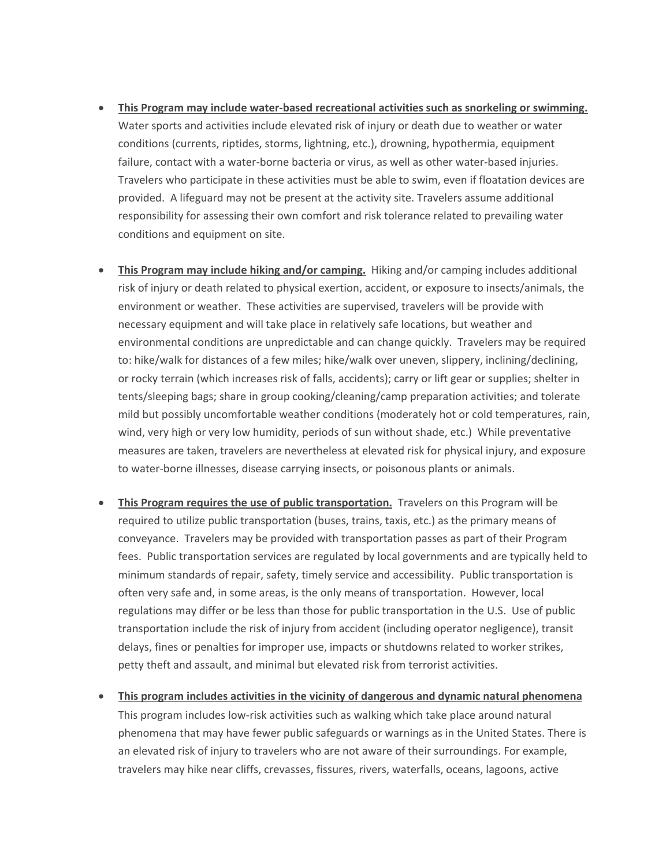- **This Program may include water-based recreational activities such as snorkeling or swimming.**  Water sports and activities include elevated risk of injury or death due to weather or water conditions (currents, riptides, storms, lightning, etc.), drowning, hypothermia, equipment failure, contact with a water-borne bacteria or virus, as well as other water-based injuries. Travelers who participate in these activities must be able to swim, even if floatation devices are provided. A lifeguard may not be present at the activity site. Travelers assume additional responsibility for assessing their own comfort and risk tolerance related to prevailing water conditions and equipment on site.
- **This Program may include hiking and/or camping.** Hiking and/or camping includes additional risk of injury or death related to physical exertion, accident, or exposure to insects/animals, the environment or weather. These activities are supervised, travelers will be provide with necessary equipment and will take place in relatively safe locations, but weather and environmental conditions are unpredictable and can change quickly. Travelers may be required to: hike/walk for distances of a few miles; hike/walk over uneven, slippery, inclining/declining, or rocky terrain (which increases risk of falls, accidents); carry or lift gear or supplies; shelter in tents/sleeping bags; share in group cooking/cleaning/camp preparation activities; and tolerate mild but possibly uncomfortable weather conditions (moderately hot or cold temperatures, rain, wind, very high or very low humidity, periods of sun without shade, etc.) While preventative measures are taken, travelers are nevertheless at elevated risk for physical injury, and exposure to water-borne illnesses, disease carrying insects, or poisonous plants or animals.
- **This Program requires the use of public transportation.** Travelers on this Program will be required to utilize public transportation (buses, trains, taxis, etc.) as the primary means of conveyance. Travelers may be provided with transportation passes as part of their Program fees. Public transportation services are regulated by local governments and are typically held to minimum standards of repair, safety, timely service and accessibility. Public transportation is often very safe and, in some areas, is the only means of transportation. However, local regulations may differ or be less than those for public transportation in the U.S. Use of public transportation include the risk of injury from accident (including operator negligence), transit delays, fines or penalties for improper use, impacts or shutdowns related to worker strikes, petty theft and assault, and minimal but elevated risk from terrorist activities.
- **This program includes activities in the vicinity of dangerous and dynamic natural phenomena**  This program includes low-risk activities such as walking which take place around natural phenomena that may have fewer public safeguards or warnings as in the United States. There is an elevated risk of injury to travelers who are not aware of their surroundings. For example, travelers may hike near cliffs, crevasses, fissures, rivers, waterfalls, oceans, lagoons, active